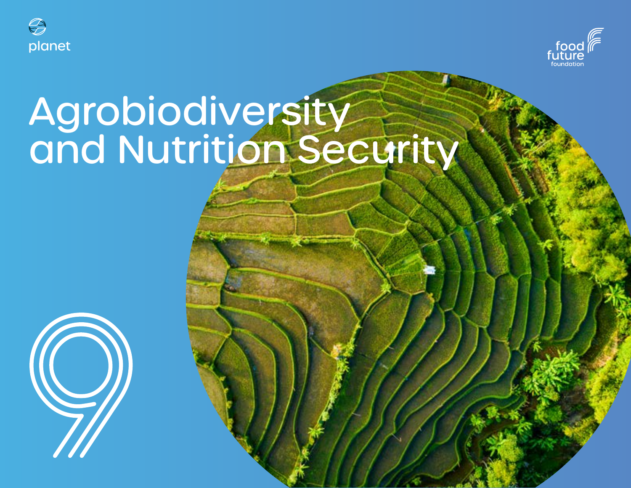



# Agrobiodiversity and Nutrition Security

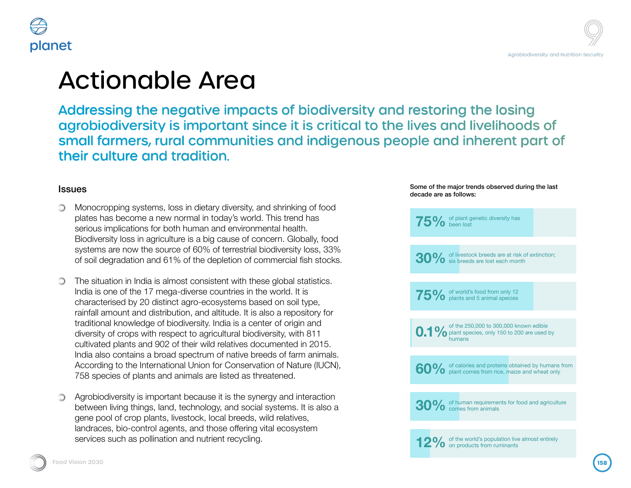



## Actionable Area

Addressing the negative impacts of biodiversity and restoring the losing agrobiodiversity is important since it is critical to the lives and livelihoods of small farmers, rural communities and indigenous people and inherent part of their culture and tradition.

### **Issues**

- Monocropping systems, loss in dietary diversity, and shrinking of food  $\bigcirc$ plates has become a new normal in today's world. This trend has serious implications for both human and environmental health. Biodiversity loss in agriculture is a big cause of concern. Globally, food systems are now the source of 60% of terrestrial biodiversity loss, 33% of soil degradation and 61% of the depletion of commercial fish stocks.
- The situation in India is almost consistent with these global statistics. India is one of the 17 mega-diverse countries in the world. It is characterised by 20 distinct agro-ecosystems based on soil type, rainfall amount and distribution, and altitude. It is also a repository for traditional knowledge of biodiversity. India is a center of origin and diversity of crops with respect to agricultural biodiversity, with 811 cultivated plants and 902 of their wild relatives documented in 2015. India also contains a broad spectrum of native breeds of farm animals. According to the International Union for Conservation of Nature (IUCN), 758 species of plants and animals are listed as threatened.
- Agrobiodiversity is important because it is the synergy and interaction O. between living things, land, technology, and social systems. It is also a gene pool of crop plants, livestock, local breeds, wild relatives, landraces, bio-control agents, and those offering vital ecosystem services such as pollination and nutrient recycling.

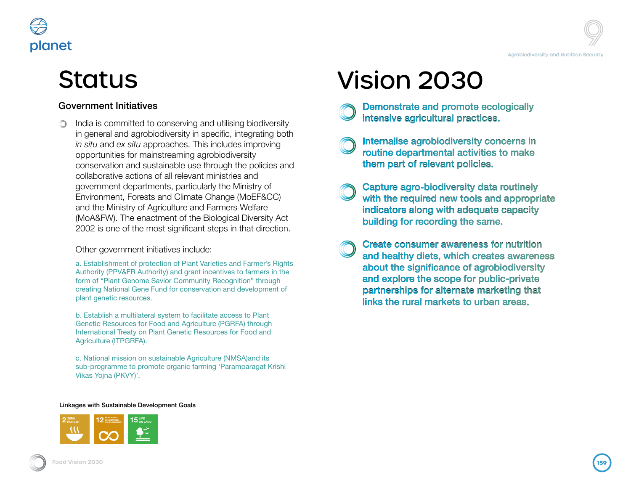# **Status**

planet

### Government Initiatives

India is committed to conserving and utilising biodiversity in general and agrobiodiversity in specific, integrating both *in situ* and *ex situ* approaches. This includes improving opportunities for mainstreaming agrobiodiversity conservation and sustainable use through the policies and collaborative actions of all relevant ministries and government departments, particularly the Ministry of Environment, Forests and Climate Change (MoEF&CC) and the Ministry of Agriculture and Farmers Welfare (MoA&FW). The enactment of the Biological Diversity Act 2002 is one of the most significant steps in that direction.

### Other government initiatives include:

a. Establishment of protection of Plant Varieties and Farmer's Rights Authority (PPV&FR Authority) and grant incentives to farmers in the form of "Plant Genome Savior Community Recognition" through creating National Gene Fund for conservation and development of plant genetic resources.

b. Establish a multilateral system to facilitate access to Plant Genetic Resources for Food and Agriculture (PGRFA) through International Treaty on Plant Genetic Resources for Food and Agriculture (ITPGRFA).

c. National mission on sustainable Agriculture (NMSA)and its sub-programme to promote organic farming 'Paramparagat Krishi Vikas Yojna (PKVY)'.

# Vision 2030

Demonstrate and promote ecologically intensive agricultural practices.

Internalise agrobiodiversity concerns in routine departmental activities to make them part of relevant policies.

- Capture agro-biodiversity data routinely with the required new tools and appropriate indicators along with adequate capacity building for recording the same.
- Create consumer awareness for nutrition and healthy diets, which creates awareness about the significance of agrobiodiversity and explore the scope for public-private partnerships for alternate marketing that links the rural markets to urban areas.

#### Linkages with Sustainable Development Goals

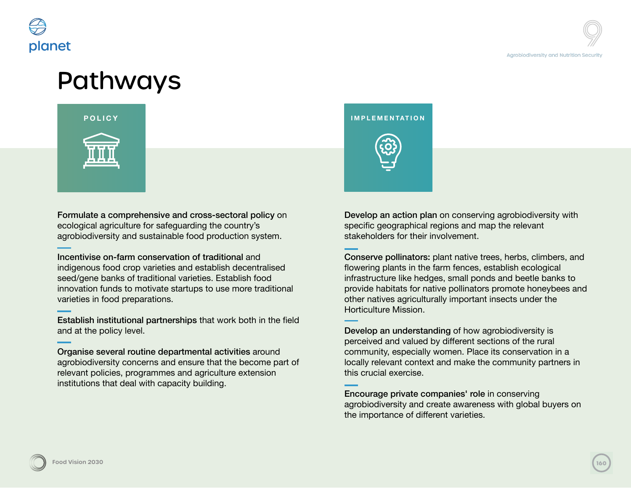

## Pathways



Formulate a comprehensive and cross-sectoral policy on ecological agriculture for safeguarding the country's agrobiodiversity and sustainable food production system.

Incentivise on-farm conservation of traditional and indigenous food crop varieties and establish decentralised seed/gene banks of traditional varieties. Establish food innovation funds to motivate startups to use more traditional varieties in food preparations.

Establish institutional partnerships that work both in the field and at the policy level.

Organise several routine departmental activities around agrobiodiversity concerns and ensure that the become part of relevant policies, programmes and agriculture extension institutions that deal with capacity building.

### **POLICY IMPLEMENTATION**



Develop an action plan on conserving agrobiodiversity with specific geographical regions and map the relevant stakeholders for their involvement.

Conserve pollinators: plant native trees, herbs, climbers, and flowering plants in the farm fences, establish ecological infrastructure like hedges, small ponds and beetle banks to provide habitats for native pollinators promote honeybees and other natives agriculturally important insects under the Horticulture Mission.

Develop an understanding of how agrobiodiversity is perceived and valued by different sections of the rural community, especially women. Place its conservation in a locally relevant context and make the community partners in this crucial exercise.

Encourage private companies' role in conserving agrobiodiversity and create awareness with global buyers on the importance of different varieties.